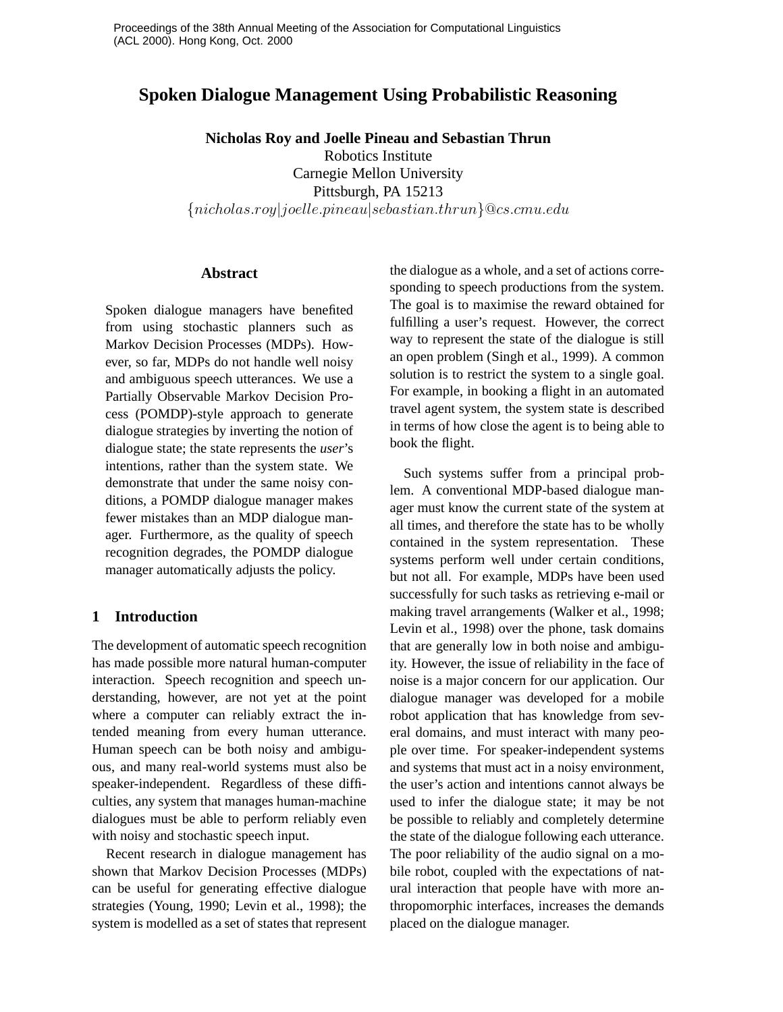# **Spoken Dialogue Management Using Probabilistic Reasoning**

**Nicholas Roy and Joelle Pineau and Sebastian Thrun**

Robotics Institute

Carnegie Mellon University Pittsburgh, PA 15213 {nicholas.roy|joelle.pineau|sebastian.thrun}@cs.cmu.edu

## **Abstract**

Spoken dialogue managers have benefited from using stochastic planners such as Markov Decision Processes (MDPs). However, so far, MDPs do not handle well noisy and ambiguous speech utterances. We use a Partially Observable Markov Decision Process (POMDP)-style approach to generate dialogue strategies by inverting the notion of dialogue state; the state represents the *user*'s intentions, rather than the system state. We demonstrate that under the same noisy conditions, a POMDP dialogue manager makes fewer mistakes than an MDP dialogue manager. Furthermore, as the quality of speech recognition degrades, the POMDP dialogue manager automatically adjusts the policy.

# **1 Introduction**

The development of automatic speech recognition has made possible more natural human-computer interaction. Speech recognition and speech understanding, however, are not yet at the point where a computer can reliably extract the intended meaning from every human utterance. Human speech can be both noisy and ambiguous, and many real-world systems must also be speaker-independent. Regardless of these difficulties, any system that manages human-machine dialogues must be able to perform reliably even with noisy and stochastic speech input.

Recent research in dialogue management has shown that Markov Decision Processes (MDPs) can be useful for generating effective dialogue strategies (Young, 1990; Levin et al., 1998); the system is modelled as a set of states that represent

the dialogue as a whole, and a set of actions corresponding to speech productions from the system. The goal is to maximise the reward obtained for fulfilling a user's request. However, the correct way to represent the state of the dialogue is still an open problem (Singh et al., 1999). A common solution is to restrict the system to a single goal. For example, in booking a flight in an automated travel agent system, the system state is described in terms of how close the agent is to being able to book the flight.

Such systems suffer from a principal problem. A conventional MDP-based dialogue manager must know the current state of the system at all times, and therefore the state has to be wholly contained in the system representation. These systems perform well under certain conditions, but not all. For example, MDPs have been used successfully for such tasks as retrieving e-mail or making travel arrangements (Walker et al., 1998; Levin et al., 1998) over the phone, task domains that are generally low in both noise and ambiguity. However, the issue of reliability in the face of noise is a major concern for our application. Our dialogue manager was developed for a mobile robot application that has knowledge from several domains, and must interact with many people over time. For speaker-independent systems and systems that must act in a noisy environment, the user's action and intentions cannot always be used to infer the dialogue state; it may be not be possible to reliably and completely determine the state of the dialogue following each utterance. The poor reliability of the audio signal on a mobile robot, coupled with the expectations of natural interaction that people have with more anthropomorphic interfaces, increases the demands placed on the dialogue manager.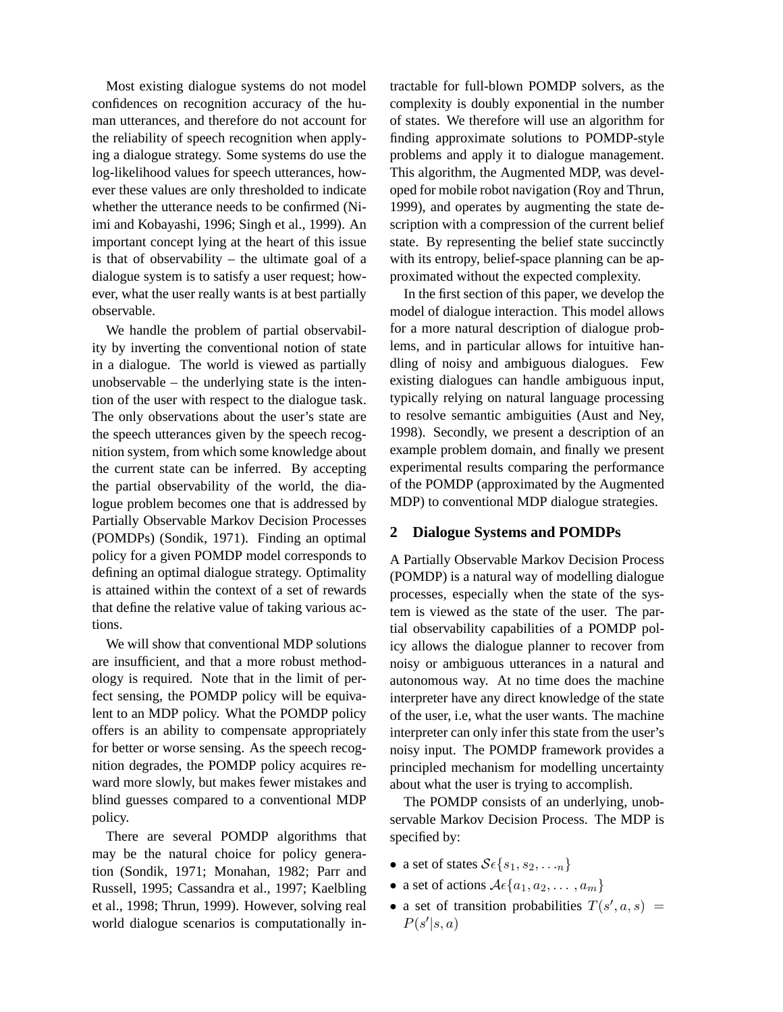Most existing dialogue systems do not model confidences on recognition accuracy of the human utterances, and therefore do not account for the reliability of speech recognition when applying a dialogue strategy. Some systems do use the log-likelihood values for speech utterances, however these values are only thresholded to indicate whether the utterance needs to be confirmed (Niimi and Kobayashi, 1996; Singh et al., 1999). An important concept lying at the heart of this issue is that of observability – the ultimate goal of a dialogue system is to satisfy a user request; however, what the user really wants is at best partially observable.

We handle the problem of partial observability by inverting the conventional notion of state in a dialogue. The world is viewed as partially unobservable – the underlying state is the intention of the user with respect to the dialogue task. The only observations about the user's state are the speech utterances given by the speech recognition system, from which some knowledge about the current state can be inferred. By accepting the partial observability of the world, the dialogue problem becomes one that is addressed by Partially Observable Markov Decision Processes (POMDPs) (Sondik, 1971). Finding an optimal policy for a given POMDP model corresponds to defining an optimal dialogue strategy. Optimality is attained within the context of a set of rewards that define the relative value of taking various actions.

We will show that conventional MDP solutions are insufficient, and that a more robust methodology is required. Note that in the limit of perfect sensing, the POMDP policy will be equivalent to an MDP policy. What the POMDP policy offers is an ability to compensate appropriately for better or worse sensing. As the speech recognition degrades, the POMDP policy acquires reward more slowly, but makes fewer mistakes and blind guesses compared to a conventional MDP policy.

There are several POMDP algorithms that may be the natural choice for policy generation (Sondik, 1971; Monahan, 1982; Parr and Russell, 1995; Cassandra et al., 1997; Kaelbling et al., 1998; Thrun, 1999). However, solving real world dialogue scenarios is computationally intractable for full-blown POMDP solvers, as the complexity is doubly exponential in the number of states. We therefore will use an algorithm for finding approximate solutions to POMDP-style problems and apply it to dialogue management. This algorithm, the Augmented MDP, was developed for mobile robot navigation (Roy and Thrun, 1999), and operates by augmenting the state description with a compression of the current belief state. By representing the belief state succinctly with its entropy, belief-space planning can be approximated without the expected complexity.

In the first section of this paper, we develop the model of dialogue interaction. This model allows for a more natural description of dialogue problems, and in particular allows for intuitive handling of noisy and ambiguous dialogues. Few existing dialogues can handle ambiguous input, typically relying on natural language processing to resolve semantic ambiguities (Aust and Ney, 1998). Secondly, we present a description of an example problem domain, and finally we present experimental results comparing the performance of the POMDP (approximated by the Augmented MDP) to conventional MDP dialogue strategies.

### **2 Dialogue Systems and POMDPs**

A Partially Observable Markov Decision Process (POMDP) is a natural way of modelling dialogue processes, especially when the state of the system is viewed as the state of the user. The partial observability capabilities of a POMDP policy allows the dialogue planner to recover from noisy or ambiguous utterances in a natural and autonomous way. At no time does the machine interpreter have any direct knowledge of the state of the user, i.e, what the user wants. The machine interpreter can only infer this state from the user's noisy input. The POMDP framework provides a principled mechanism for modelling uncertainty about what the user is trying to accomplish.

The POMDP consists of an underlying, unobservable Markov Decision Process. The MDP is specified by:

- a set of states  $S \in \{s_1, s_2, \ldots \}$
- a set of actions  $A \in \{a_1, a_2, \ldots, a_m\}$
- a set of transition probabilities  $T(s', a, s)$  =  $P(s'|s,a)$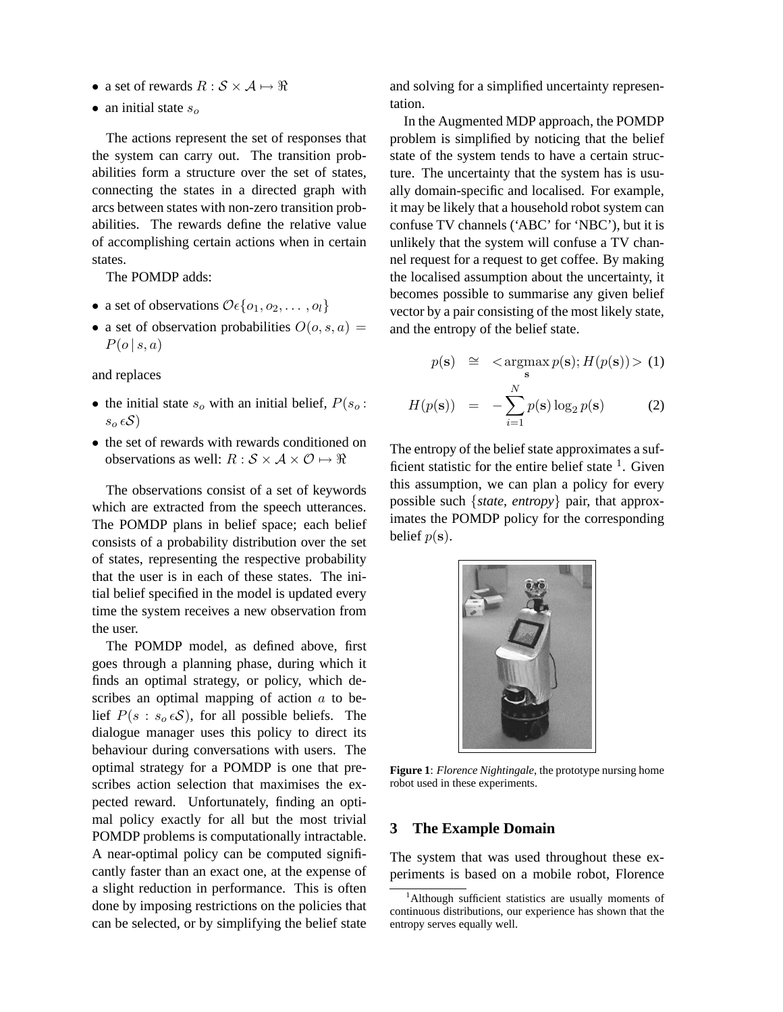- a set of rewards  $R : \mathcal{S} \times \mathcal{A} \mapsto \Re$
- an initial state  $s_{\alpha}$

The actions represent the set of responses that the system can carry out. The transition probabilities form a structure over the set of states, connecting the states in a directed graph with arcs between states with non-zero transition probabilities. The rewards define the relative value of accomplishing certain actions when in certain states.

The POMDP adds:

- a set of observations  $\mathcal{O}\epsilon\{o_1, o_2, \ldots, o_l\}$
- a set of observation probabilities  $O(o, s, a)$  =  $P(o | s, a)$

and replaces

- the initial state  $s_o$  with an initial belief,  $P(s_o)$ :  $s_o \epsilon S$
- the set of rewards with rewards conditioned on observations as well:  $R : \mathcal{S} \times \mathcal{A} \times \mathcal{O} \mapsto \Re$

The observations consist of a set of keywords which are extracted from the speech utterances. The POMDP plans in belief space; each belief consists of a probability distribution over the set of states, representing the respective probability that the user is in each of these states. The initial belief specified in the model is updated every time the system receives a new observation from the user.

The POMDP model, as defined above, first goes through a planning phase, during which it finds an optimal strategy, or policy, which describes an optimal mapping of action  $a$  to belief  $P(s : s_0 \in S)$ , for all possible beliefs. The dialogue manager uses this policy to direct its behaviour during conversations with users. The optimal strategy for a POMDP is one that prescribes action selection that maximises the expected reward. Unfortunately, finding an optimal policy exactly for all but the most trivial POMDP problems is computationally intractable. A near-optimal policy can be computed significantly faster than an exact one, at the expense of a slight reduction in performance. This is often done by imposing restrictions on the policies that can be selected, or by simplifying the belief state and solving for a simplified uncertainty representation.

In the Augmented MDP approach, the POMDP problem is simplified by noticing that the belief state of the system tends to have a certain structure. The uncertainty that the system has is usually domain-specific and localised. For example, it may be likely that a household robot system can confuse TV channels ('ABC' for 'NBC'), but it is unlikely that the system will confuse a TV channel request for a request to get coffee. By making the localised assumption about the uncertainty, it becomes possible to summarise any given belief vector by a pair consisting of the most likely state, and the entropy of the belief state.

$$
p(\mathbf{s}) \quad \cong \quad < \operatorname*{argmax}_{\mathbf{s}} p(\mathbf{s}); H(p(\mathbf{s})) > (1)
$$

$$
H(p(\mathbf{s})) = -\sum_{i=1}^{N} p(\mathbf{s}) \log_2 p(\mathbf{s}) \tag{2}
$$

The entropy of the belief state approximates a sufficient statistic for the entire belief state  $<sup>1</sup>$ . Given</sup> this assumption, we can plan a policy for every possible such {*state, entropy*} pair, that approximates the POMDP policy for the corresponding belief  $p(s)$ .



**Figure 1**: *Florence Nightingale*, the prototype nursing home robot used in these experiments.

# **3 The Example Domain**

The system that was used throughout these experiments is based on a mobile robot, Florence

<sup>&</sup>lt;sup>1</sup>Although sufficient statistics are usually moments of continuous distributions, our experience has shown that the entropy serves equally well.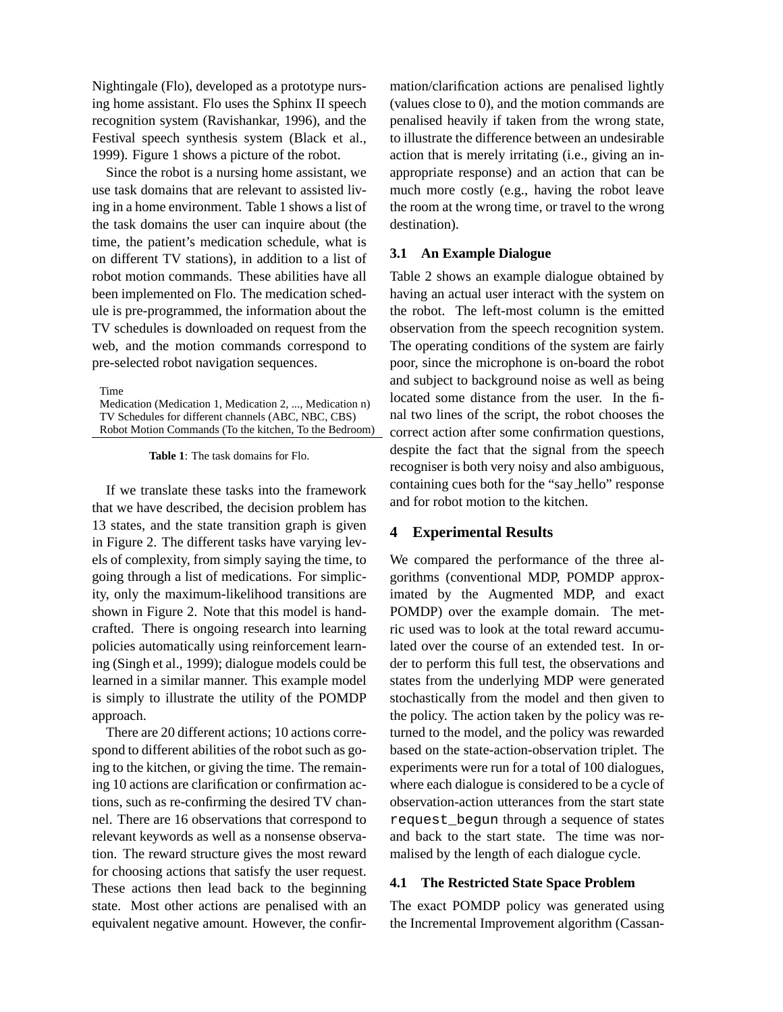Nightingale (Flo), developed as a prototype nursing home assistant. Flo uses the Sphinx II speech recognition system (Ravishankar, 1996), and the Festival speech synthesis system (Black et al., 1999). Figure 1 shows a picture of the robot.

Since the robot is a nursing home assistant, we use task domains that are relevant to assisted living in a home environment. Table 1 shows a list of the task domains the user can inquire about (the time, the patient's medication schedule, what is on different TV stations), in addition to a list of robot motion commands. These abilities have all been implemented on Flo. The medication schedule is pre-programmed, the information about the TV schedules is downloaded on request from the web, and the motion commands correspond to pre-selected robot navigation sequences.

Time

Medication (Medication 1, Medication 2, ..., Medication n) TV Schedules for different channels (ABC, NBC, CBS) Robot Motion Commands (To the kitchen, To the Bedroom)

| <b>Table 1:</b> The task domains for Flo. |  |
|-------------------------------------------|--|
|-------------------------------------------|--|

If we translate these tasks into the framework that we have described, the decision problem has 13 states, and the state transition graph is given in Figure 2. The different tasks have varying levels of complexity, from simply saying the time, to going through a list of medications. For simplicity, only the maximum-likelihood transitions are shown in Figure 2. Note that this model is handcrafted. There is ongoing research into learning policies automatically using reinforcement learning (Singh et al., 1999); dialogue models could be learned in a similar manner. This example model is simply to illustrate the utility of the POMDP approach.

There are 20 different actions; 10 actions correspond to different abilities of the robot such as going to the kitchen, or giving the time. The remaining 10 actions are clarification or confirmation actions, such as re-confirming the desired TV channel. There are 16 observations that correspond to relevant keywords as well as a nonsense observation. The reward structure gives the most reward for choosing actions that satisfy the user request. These actions then lead back to the beginning state. Most other actions are penalised with an equivalent negative amount. However, the confirmation/clarification actions are penalised lightly (values close to 0), and the motion commands are penalised heavily if taken from the wrong state, to illustrate the difference between an undesirable action that is merely irritating (i.e., giving an inappropriate response) and an action that can be much more costly (e.g., having the robot leave the room at the wrong time, or travel to the wrong destination).

## **3.1 An Example Dialogue**

Table 2 shows an example dialogue obtained by having an actual user interact with the system on the robot. The left-most column is the emitted observation from the speech recognition system. The operating conditions of the system are fairly poor, since the microphone is on-board the robot and subject to background noise as well as being located some distance from the user. In the final two lines of the script, the robot chooses the correct action after some confirmation questions, despite the fact that the signal from the speech recogniser is both very noisy and also ambiguous, containing cues both for the "say hello" response and for robot motion to the kitchen.

## **4 Experimental Results**

We compared the performance of the three algorithms (conventional MDP, POMDP approximated by the Augmented MDP, and exact POMDP) over the example domain. The metric used was to look at the total reward accumulated over the course of an extended test. In order to perform this full test, the observations and states from the underlying MDP were generated stochastically from the model and then given to the policy. The action taken by the policy was returned to the model, and the policy was rewarded based on the state-action-observation triplet. The experiments were run for a total of 100 dialogues, where each dialogue is considered to be a cycle of observation-action utterances from the start state request\_begun through a sequence of states and back to the start state. The time was normalised by the length of each dialogue cycle.

#### **4.1 The Restricted State Space Problem**

The exact POMDP policy was generated using the Incremental Improvement algorithm (Cassan-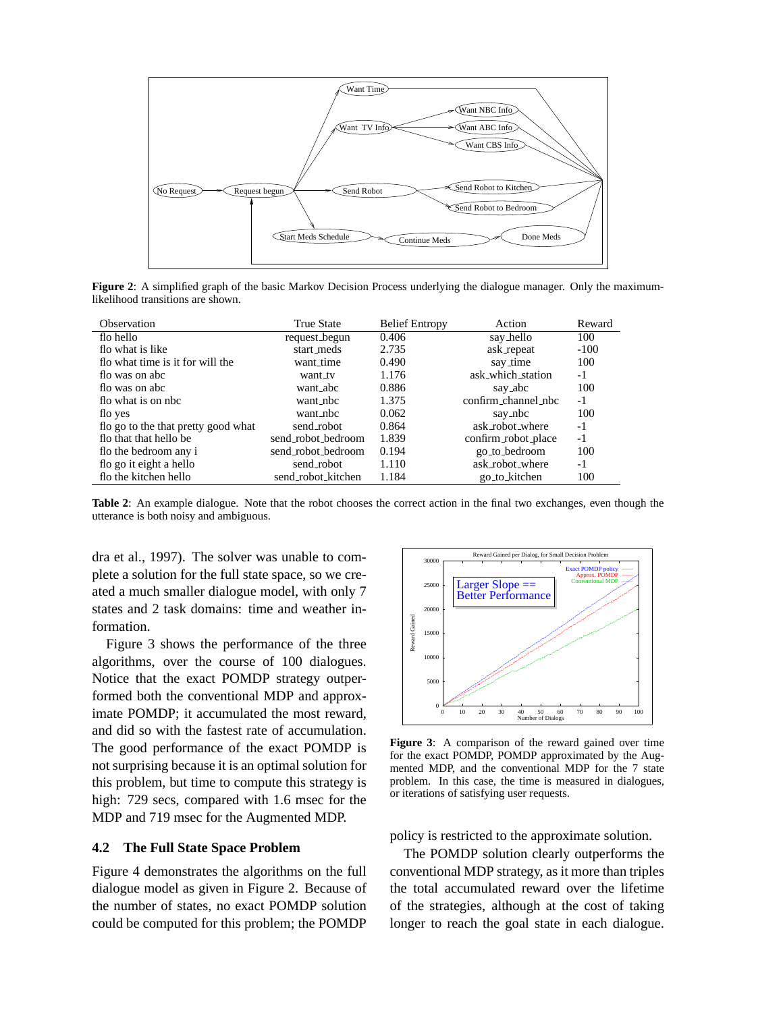

**Figure 2**: A simplified graph of the basic Markov Decision Process underlying the dialogue manager. Only the maximumlikelihood transitions are shown.

| Observation                                       | <b>Belief Entropy</b><br><b>True State</b> |       | Action              | Reward |
|---------------------------------------------------|--------------------------------------------|-------|---------------------|--------|
| flo hello                                         | request begun                              | 0.406 | say_hello           | 100    |
| flo what is like                                  | start_meds                                 | 2.735 | ask repeat          | $-100$ |
| flo what time is it for will the<br>want_time     |                                            | 0.490 | say time            | 100    |
| flo was on abc<br>want_tv                         |                                            | 1.176 | ask_which_station   | $-1$   |
| flo was on abc                                    | want_abc                                   | 0.886 | say abc             | 100    |
| flo what is on nbc                                | want_nbc                                   | 1.375 | confirm_channel_nbc | $-1$   |
| flo yes                                           | want_nbc                                   | 0.062 | say_nbc             | 100    |
| flo go to the that pretty good what<br>send_robot |                                            | 0.864 | ask robot where     | $-1$   |
| flo that that hello be                            | send_robot_bedroom                         | 1.839 | confirm robot place | $-1$   |
| flo the bedroom any i                             | send_robot_bedroom                         | 0.194 | go to bedroom       | 100    |
| flo go it eight a hello                           | send_robot                                 | 1.110 | ask_robot_where     | $-1$   |
| flo the kitchen hello                             | send_robot_kitchen                         | 1.184 | go to kitchen       | 100    |

**Table 2**: An example dialogue. Note that the robot chooses the correct action in the final two exchanges, even though the utterance is both noisy and ambiguous.

dra et al., 1997). The solver was unable to complete a solution for the full state space, so we created a much smaller dialogue model, with only 7 states and 2 task domains: time and weather information.

Figure 3 shows the performance of the three algorithms, over the course of 100 dialogues. Notice that the exact POMDP strategy outperformed both the conventional MDP and approximate POMDP; it accumulated the most reward, and did so with the fastest rate of accumulation. The good performance of the exact POMDP is not surprising because it is an optimal solution for this problem, but time to compute this strategy is high: 729 secs, compared with 1.6 msec for the MDP and 719 msec for the Augmented MDP.

## **4.2 The Full State Space Problem**

Figure 4 demonstrates the algorithms on the full dialogue model as given in Figure 2. Because of the number of states, no exact POMDP solution could be computed for this problem; the POMDP



**Figure 3**: A comparison of the reward gained over time for the exact POMDP, POMDP approximated by the Augmented MDP, and the conventional MDP for the 7 state problem. In this case, the time is measured in dialogues, or iterations of satisfying user requests.

policy is restricted to the approximate solution.

The POMDP solution clearly outperforms the conventional MDP strategy, as it more than triples the total accumulated reward over the lifetime of the strategies, although at the cost of taking longer to reach the goal state in each dialogue.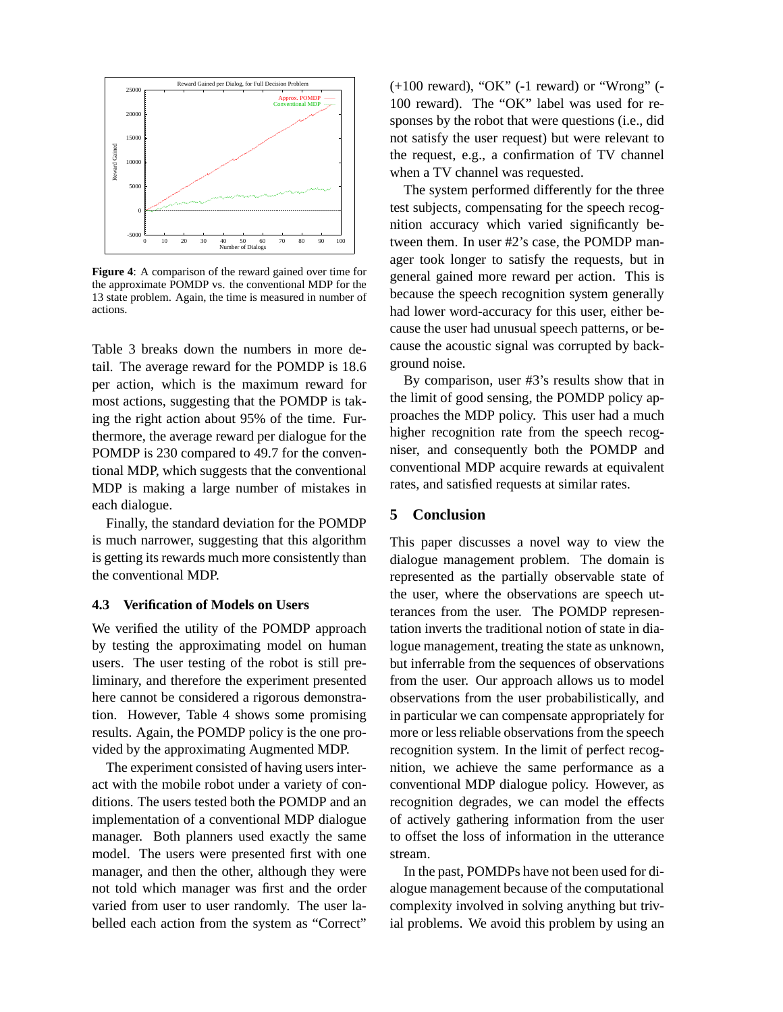

**Figure 4**: A comparison of the reward gained over time for the approximate POMDP vs. the conventional MDP for the 13 state problem. Again, the time is measured in number of actions.

Table 3 breaks down the numbers in more detail. The average reward for the POMDP is 18.6 per action, which is the maximum reward for most actions, suggesting that the POMDP is taking the right action about 95% of the time. Furthermore, the average reward per dialogue for the POMDP is 230 compared to 49.7 for the conventional MDP, which suggests that the conventional MDP is making a large number of mistakes in each dialogue.

Finally, the standard deviation for the POMDP is much narrower, suggesting that this algorithm is getting its rewards much more consistently than the conventional MDP.

## **4.3 Verification of Models on Users**

We verified the utility of the POMDP approach by testing the approximating model on human users. The user testing of the robot is still preliminary, and therefore the experiment presented here cannot be considered a rigorous demonstration. However, Table 4 shows some promising results. Again, the POMDP policy is the one provided by the approximating Augmented MDP.

The experiment consisted of having users interact with the mobile robot under a variety of conditions. The users tested both the POMDP and an implementation of a conventional MDP dialogue manager. Both planners used exactly the same model. The users were presented first with one manager, and then the other, although they were not told which manager was first and the order varied from user to user randomly. The user labelled each action from the system as "Correct"

(+100 reward), "OK" (-1 reward) or "Wrong" (- 100 reward). The "OK" label was used for responses by the robot that were questions (i.e., did not satisfy the user request) but were relevant to the request, e.g., a confirmation of TV channel when a TV channel was requested.

The system performed differently for the three test subjects, compensating for the speech recognition accuracy which varied significantly between them. In user #2's case, the POMDP manager took longer to satisfy the requests, but in general gained more reward per action. This is because the speech recognition system generally had lower word-accuracy for this user, either because the user had unusual speech patterns, or because the acoustic signal was corrupted by background noise.

By comparison, user #3's results show that in the limit of good sensing, the POMDP policy approaches the MDP policy. This user had a much higher recognition rate from the speech recogniser, and consequently both the POMDP and conventional MDP acquire rewards at equivalent rates, and satisfied requests at similar rates.

# **5 Conclusion**

This paper discusses a novel way to view the dialogue management problem. The domain is represented as the partially observable state of the user, where the observations are speech utterances from the user. The POMDP representation inverts the traditional notion of state in dialogue management, treating the state as unknown, but inferrable from the sequences of observations from the user. Our approach allows us to model observations from the user probabilistically, and in particular we can compensate appropriately for more or less reliable observations from the speech recognition system. In the limit of perfect recognition, we achieve the same performance as a conventional MDP dialogue policy. However, as recognition degrades, we can model the effects of actively gathering information from the user to offset the loss of information in the utterance stream.

In the past, POMDPs have not been used for dialogue management because of the computational complexity involved in solving anything but trivial problems. We avoid this problem by using an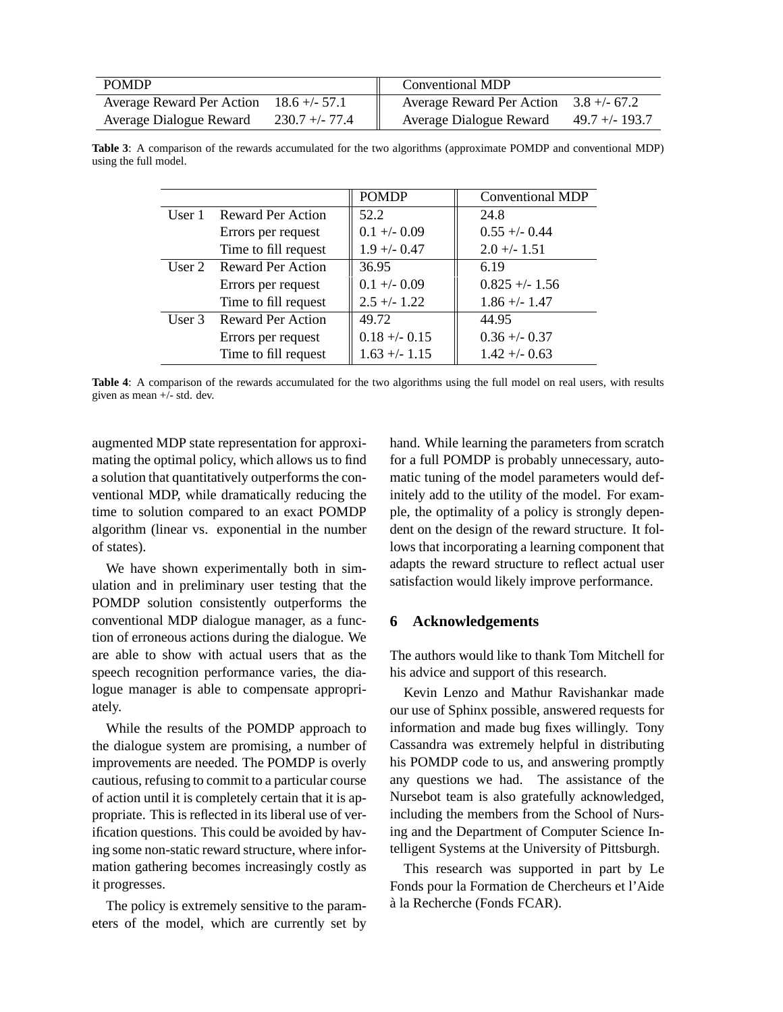| <b>POMDP</b>                              |                 | Conventional MDP                          |                  |
|-------------------------------------------|-----------------|-------------------------------------------|------------------|
| Average Reward Per Action $18.6 +/- 57.1$ |                 | Average Reward Per Action $3.8 + (-67.2)$ |                  |
| Average Dialogue Reward                   | $230.7 + -77.4$ | Average Dialogue Reward                   | $49.7 + (-193.7$ |

**Table 3**: A comparison of the rewards accumulated for the two algorithms (approximate POMDP and conventional MDP) using the full model.

|          |                          | <b>POMDP</b>    | <b>Conventional MDP</b> |
|----------|--------------------------|-----------------|-------------------------|
| User 1   | Reward Per Action        | 52.2            | 24.8                    |
|          | Errors per request       | $0.1 + -0.09$   | $0.55 + -0.44$          |
|          | Time to fill request     | $1.9 + - 0.47$  | $2.0 +/- 1.51$          |
|          | User 2 Reward Per Action | 36.95           | 6.19                    |
|          | Errors per request       | $0.1 + -0.09$   | $0.825 + - 1.56$        |
|          | Time to fill request     | $2.5 + - 1.22$  | $1.86 + - 1.47$         |
| User $3$ | <b>Reward Per Action</b> | 49.72           | 44.95                   |
|          | Errors per request       | $0.18 + -0.15$  | $0.36 + -0.37$          |
|          | Time to fill request     | $1.63 +/- 1.15$ | $1.42 + -0.63$          |

**Table 4**: A comparison of the rewards accumulated for the two algorithms using the full model on real users, with results given as mean +/- std. dev.

augmented MDP state representation for approximating the optimal policy, which allows us to find a solution that quantitatively outperforms the conventional MDP, while dramatically reducing the time to solution compared to an exact POMDP algorithm (linear vs. exponential in the number of states).

We have shown experimentally both in simulation and in preliminary user testing that the POMDP solution consistently outperforms the conventional MDP dialogue manager, as a function of erroneous actions during the dialogue. We are able to show with actual users that as the speech recognition performance varies, the dialogue manager is able to compensate appropriately.

While the results of the POMDP approach to the dialogue system are promising, a number of improvements are needed. The POMDP is overly cautious, refusing to commit to a particular course of action until it is completely certain that it is appropriate. This is reflected in its liberal use of verification questions. This could be avoided by having some non-static reward structure, where information gathering becomes increasingly costly as it progresses.

The policy is extremely sensitive to the parameters of the model, which are currently set by hand. While learning the parameters from scratch for a full POMDP is probably unnecessary, automatic tuning of the model parameters would definitely add to the utility of the model. For example, the optimality of a policy is strongly dependent on the design of the reward structure. It follows that incorporating a learning component that adapts the reward structure to reflect actual user satisfaction would likely improve performance.

# **6 Acknowledgements**

The authors would like to thank Tom Mitchell for his advice and support of this research.

Kevin Lenzo and Mathur Ravishankar made our use of Sphinx possible, answered requests for information and made bug fixes willingly. Tony Cassandra was extremely helpful in distributing his POMDP code to us, and answering promptly any questions we had. The assistance of the Nursebot team is also gratefully acknowledged, including the members from the School of Nursing and the Department of Computer Science Intelligent Systems at the University of Pittsburgh.

This research was supported in part by Le Fonds pour la Formation de Chercheurs et l'Aide a` la Recherche (Fonds FCAR).